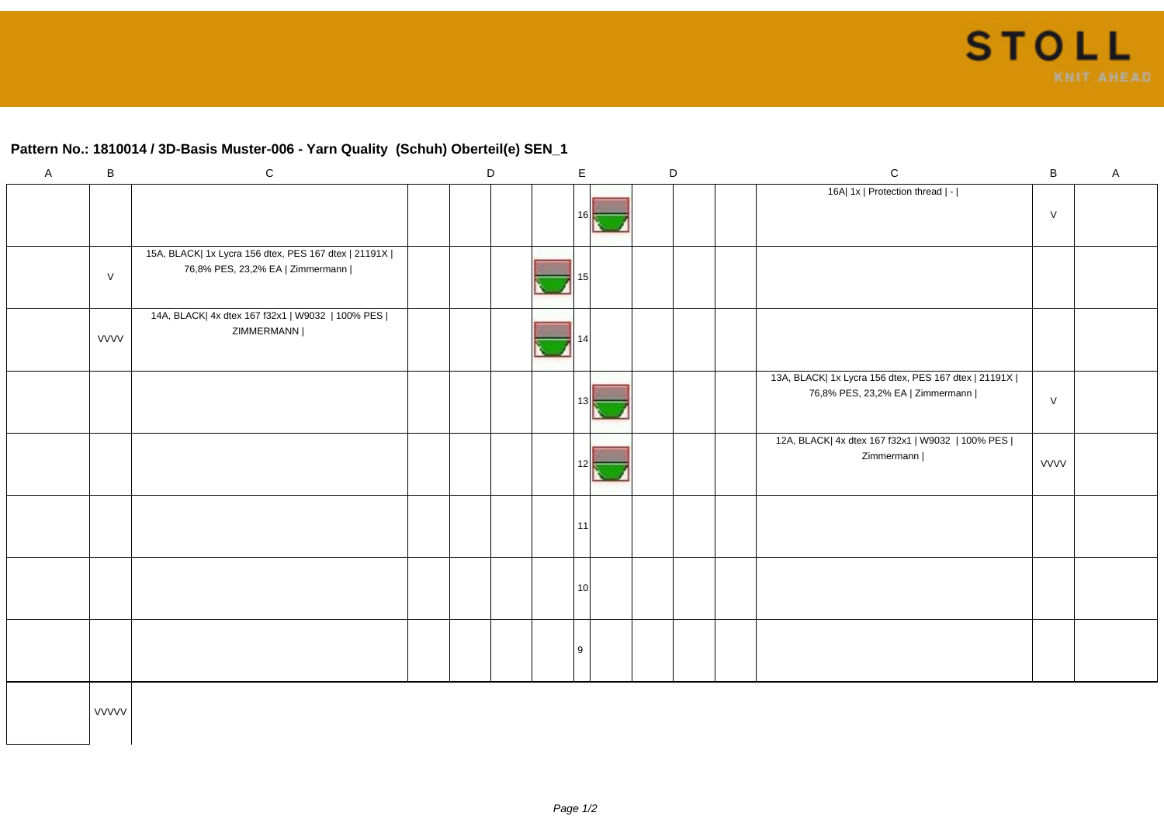## **Pattern No.: 1810014 / 3D-Basis Muster-006 - Yarn Quality (Schuh) Oberteil(e) SEN\_1**

| $\mathsf{A}$ | $\, {\bf B}$ | ${\bf C}$                                                                                  |  | $\mathsf D$ | $\mathsf E$     |  | $\mathsf D$ | ${\bf C}$                                                                                  | $\sf B$ | $\mathsf A$ |
|--------------|--------------|--------------------------------------------------------------------------------------------|--|-------------|-----------------|--|-------------|--------------------------------------------------------------------------------------------|---------|-------------|
|              |              |                                                                                            |  |             | 16              |  |             | 16A  1x   Protection thread   -                                                            | $\vee$  |             |
|              | $\vee$       | 15A, BLACK  1x Lycra 156 dtex, PES 167 dtex   21191X  <br>76,8% PES, 23,2% EA   Zimmermann |  |             | 15              |  |             |                                                                                            |         |             |
|              | <b>VVVV</b>  | 14A, BLACK  4x dtex 167 f32x1   W9032   100% PES  <br>ZIMMERMANN                           |  |             |                 |  |             |                                                                                            |         |             |
|              |              |                                                                                            |  |             | 13 <sup>1</sup> |  |             | 13A, BLACK  1x Lycra 156 dtex, PES 167 dtex   21191X  <br>76,8% PES, 23,2% EA   Zimmermann | $\vee$  |             |
|              |              |                                                                                            |  |             | 12              |  |             | 12A, BLACK  4x dtex 167 f32x1   W9032   100% PES  <br>Zimmermann                           | VVVV    |             |
|              |              |                                                                                            |  |             | 11              |  |             |                                                                                            |         |             |
|              |              |                                                                                            |  |             | 10 <sup>1</sup> |  |             |                                                                                            |         |             |
|              |              |                                                                                            |  |             | 9               |  |             |                                                                                            |         |             |
|              | <b>VVVVV</b> |                                                                                            |  |             |                 |  |             |                                                                                            |         |             |